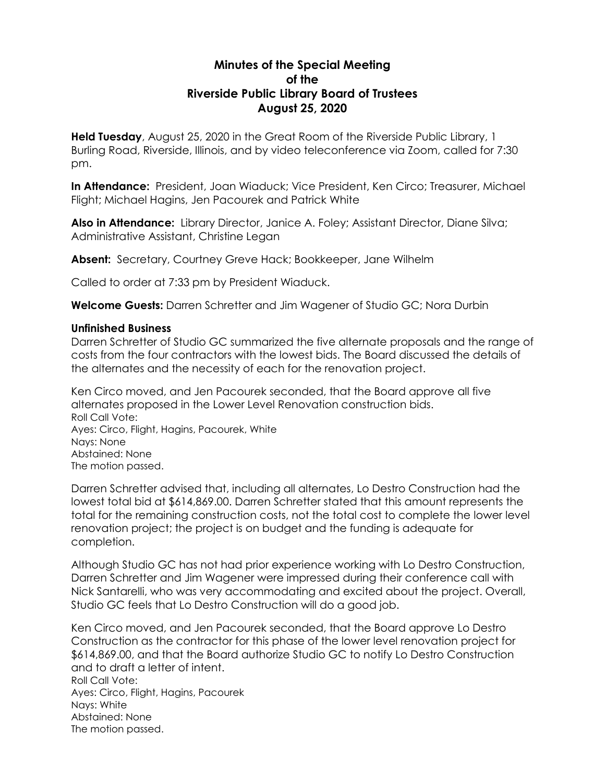## **Minutes of the Special Meeting of the Riverside Public Library Board of Trustees August 25, 2020**

**Held Tuesday**, August 25, 2020 in the Great Room of the Riverside Public Library, 1 Burling Road, Riverside, Illinois, and by video teleconference via Zoom, called for 7:30 pm.

**In Attendance:** President, Joan Wiaduck; Vice President, Ken Circo; Treasurer, Michael Flight; Michael Hagins, Jen Pacourek and Patrick White

**Also in Attendance:** Library Director, Janice A. Foley; Assistant Director, Diane Silva; Administrative Assistant, Christine Legan

**Absent:** Secretary, Courtney Greve Hack; Bookkeeper, Jane Wilhelm

Called to order at 7:33 pm by President Wiaduck.

**Welcome Guests:** Darren Schretter and Jim Wagener of Studio GC; Nora Durbin

## **Unfinished Business**

Darren Schretter of Studio GC summarized the five alternate proposals and the range of costs from the four contractors with the lowest bids. The Board discussed the details of the alternates and the necessity of each for the renovation project.

Ken Circo moved, and Jen Pacourek seconded, that the Board approve all five alternates proposed in the Lower Level Renovation construction bids. Roll Call Vote: Ayes: Circo, Flight, Hagins, Pacourek, White Nays: None Abstained: None The motion passed.

Darren Schretter advised that, including all alternates, Lo Destro Construction had the lowest total bid at \$614,869.00. Darren Schretter stated that this amount represents the total for the remaining construction costs, not the total cost to complete the lower level renovation project; the project is on budget and the funding is adequate for completion.

Although Studio GC has not had prior experience working with Lo Destro Construction, Darren Schretter and Jim Wagener were impressed during their conference call with Nick Santarelli, who was very accommodating and excited about the project. Overall, Studio GC feels that Lo Destro Construction will do a good job.

Ken Circo moved, and Jen Pacourek seconded, that the Board approve Lo Destro Construction as the contractor for this phase of the lower level renovation project for \$614,869.00, and that the Board authorize Studio GC to notify Lo Destro Construction and to draft a letter of intent. Roll Call Vote: Ayes: Circo, Flight, Hagins, Pacourek Nays: White Abstained: None The motion passed.